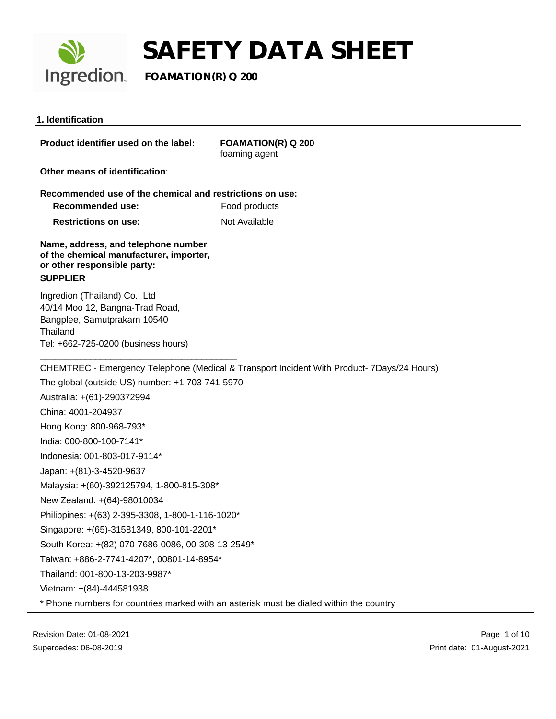

**Ingredion** FOAMATION(R) Q 200

### **1. Identification**

**Product identifier used on the label: FOAMATION(R) Q 200**

foaming agent

**Other means of identification**:

**Recommended use of the chemical and restrictions on use: Recommended use:** Food products

**Restrictions on use:** Not Available

**Name, address, and telephone number of the chemical manufacturer, importer, or other responsible party:**

### **SUPPLIER**

Ingredion (Thailand) Co., Ltd 40/14 Moo 12, Bangna-Trad Road, Bangplee, Samutprakarn 10540 **Thailand** Tel: +662-725-0200 (business hours)

\_\_\_\_\_\_\_\_\_\_\_\_\_\_\_\_\_\_\_\_\_\_\_\_\_\_\_\_\_\_\_\_\_\_\_\_\_\_\_

CHEMTREC - Emergency Telephone (Medical & Transport Incident With Product- 7Days/24 Hours)

The global (outside US) number: +1 703-741-5970 Australia: +(61)-290372994 China: 4001-204937 Hong Kong: 800-968-793\* India: 000-800-100-7141\* Indonesia: 001-803-017-9114\* Japan: +(81)-3-4520-9637 Malaysia: +(60)-392125794, 1-800-815-308\* New Zealand: +(64)-98010034 Philippines: +(63) 2-395-3308, 1-800-1-116-1020\* Singapore: +(65)-31581349, 800-101-2201\* South Korea: +(82) 070-7686-0086, 00-308-13-2549\* Taiwan: +886-2-7741-4207\*, 00801-14-8954\* Thailand: 001-800-13-203-9987\* Vietnam: +(84)-444581938 \* Phone numbers for countries marked with an asterisk must be dialed within the country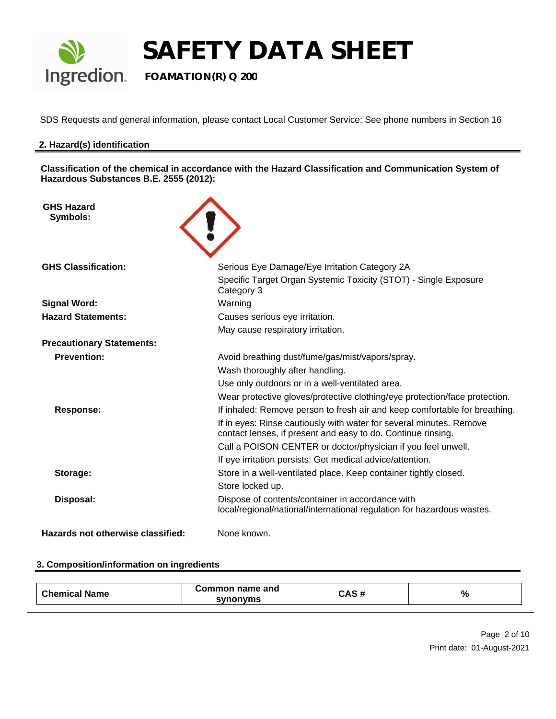

SDS Requests and general information, please contact Local Customer Service: See phone numbers in Section 16

### **2. Hazard(s) identification**

**Classification of the chemical in accordance with the Hazard Classification and Communication System of Hazardous Substances B.E. 2555 (2012):**

| <b>GHS Hazard</b><br>Symbols:     |                                                                                                                                     |
|-----------------------------------|-------------------------------------------------------------------------------------------------------------------------------------|
| <b>GHS Classification:</b>        | Serious Eye Damage/Eye Irritation Category 2A<br>Specific Target Organ Systemic Toxicity (STOT) - Single Exposure<br>Category 3     |
| <b>Signal Word:</b>               | Warning                                                                                                                             |
| <b>Hazard Statements:</b>         | Causes serious eye irritation.                                                                                                      |
|                                   | May cause respiratory irritation.                                                                                                   |
| <b>Precautionary Statements:</b>  |                                                                                                                                     |
| <b>Prevention:</b>                | Avoid breathing dust/fume/gas/mist/vapors/spray.                                                                                    |
|                                   | Wash thoroughly after handling.                                                                                                     |
|                                   | Use only outdoors or in a well-ventilated area.                                                                                     |
|                                   | Wear protective gloves/protective clothing/eye protection/face protection.                                                          |
| <b>Response:</b>                  | If inhaled: Remove person to fresh air and keep comfortable for breathing.                                                          |
|                                   | If in eyes: Rinse cautiously with water for several minutes. Remove<br>contact lenses, if present and easy to do. Continue rinsing. |
|                                   | Call a POISON CENTER or doctor/physician if you feel unwell.                                                                        |
|                                   | If eye irritation persists: Get medical advice/attention.                                                                           |
| Storage:                          | Store in a well-ventilated place. Keep container tightly closed.                                                                    |
|                                   | Store locked up.                                                                                                                    |
| Disposal:                         | Dispose of contents/container in accordance with<br>local/regional/national/international regulation for hazardous wastes.          |
| Hazards not otherwise classified: | None known.                                                                                                                         |

### **3. Composition/information on ingredients**

| $n_{\rm hom}$<br><b>Name</b> | ommon name and<br>н | <br>$\overline{\phantom{a}}$<br>≛ ∗<br>$ -$ | $\%$ |
|------------------------------|---------------------|---------------------------------------------|------|
|------------------------------|---------------------|---------------------------------------------|------|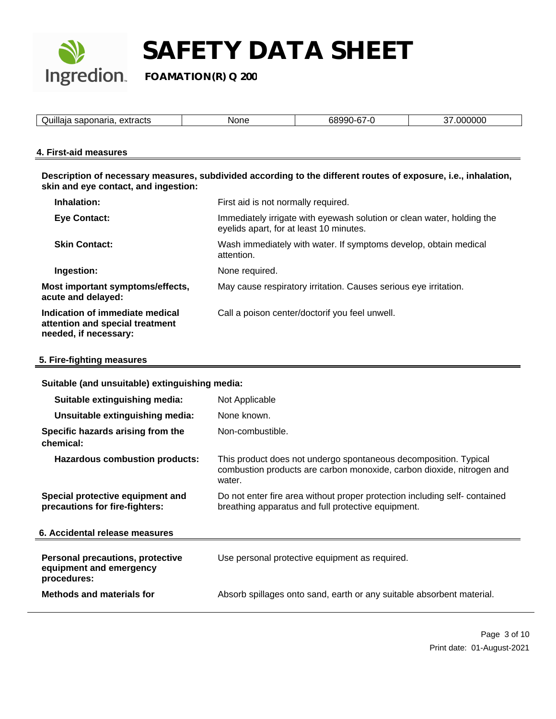

| <br>-<br>۰^۰<br>.<br>$\overline{\phantom{a}}$ | мı<br>_____ |  |
|-----------------------------------------------|-------------|--|

### **4. First-aid measures**

**Description of necessary measures, subdivided according to the different routes of exposure, i.e., inhalation, skin and eye contact, and ingestion:** 

| Inhalation:                                                                                 | First aid is not normally required.                                                                               |
|---------------------------------------------------------------------------------------------|-------------------------------------------------------------------------------------------------------------------|
| <b>Eye Contact:</b>                                                                         | Immediately irrigate with eyewash solution or clean water, holding the<br>eyelids apart, for at least 10 minutes. |
| <b>Skin Contact:</b>                                                                        | Wash immediately with water. If symptoms develop, obtain medical<br>attention.                                    |
| Ingestion:                                                                                  | None required.                                                                                                    |
| Most important symptoms/effects,<br>acute and delayed:                                      | May cause respiratory irritation. Causes serious eye irritation.                                                  |
| Indication of immediate medical<br>attention and special treatment<br>needed, if necessary: | Call a poison center/doctorif you feel unwell.                                                                    |

### **5. Fire-fighting measures**

### **Suitable (and unsuitable) extinguishing media:**

| Suitable extinguishing media:                                                     | Not Applicable                                                                                                                                      |
|-----------------------------------------------------------------------------------|-----------------------------------------------------------------------------------------------------------------------------------------------------|
| Unsuitable extinguishing media:                                                   | None known.                                                                                                                                         |
| Specific hazards arising from the<br>chemical:                                    | Non-combustible.                                                                                                                                    |
| <b>Hazardous combustion products:</b>                                             | This product does not undergo spontaneous decomposition. Typical<br>combustion products are carbon monoxide, carbon dioxide, nitrogen and<br>water. |
| Special protective equipment and<br>precautions for fire-fighters:                | Do not enter fire area without proper protection including self-contained<br>breathing apparatus and full protective equipment.                     |
| 6. Accidental release measures                                                    |                                                                                                                                                     |
| <b>Personal precautions, protective</b><br>equipment and emergency<br>procedures: | Use personal protective equipment as required.                                                                                                      |
| <b>Methods and materials for</b>                                                  | Absorb spillages onto sand, earth or any suitable absorbent material.                                                                               |
|                                                                                   |                                                                                                                                                     |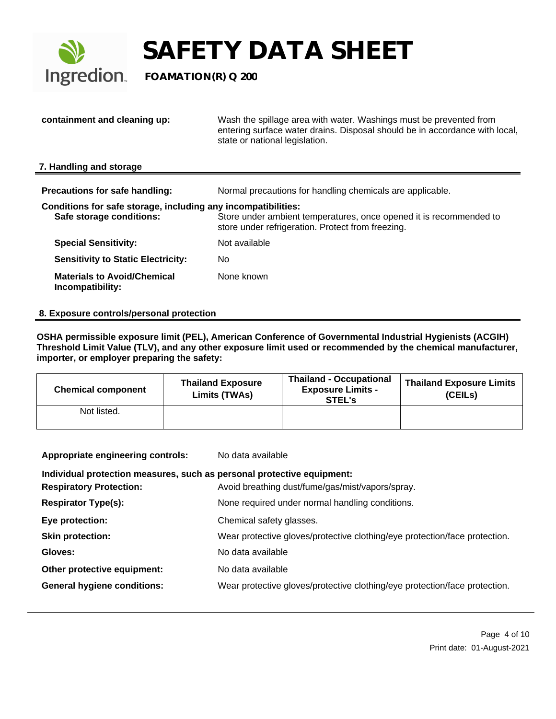

**Ingredion** FOAMATION(R) Q 200

**containment and cleaning up:** Wash the spillage area with water. Washings must be prevented from entering surface water drains. Disposal should be in accordance with local, state or national legislation. **7. Handling and storage Precautions for safe handling:** Normal precautions for handling chemicals are applicable. **Conditions for safe storage, including any incompatibilities: Safe storage conditions:** Store under ambient temperatures, once opened it is recommended to store under refrigeration. Protect from freezing. **Special Sensitivity:** Not available **Sensitivity to Static Electricity:** No **Materials to Avoid/Chemical Incompatibility:** None known

### **8. Exposure controls/personal protection**

**OSHA permissible exposure limit (PEL), American Conference of Governmental Industrial Hygienists (ACGIH) Threshold Limit Value (TLV), and any other exposure limit used or recommended by the chemical manufacturer, importer, or employer preparing the safety:**

| <b>Chemical component</b> | <b>Thailand Exposure</b><br>Limits (TWAs) | <b>Thailand - Occupational</b><br><b>Exposure Limits -</b><br>STEL's | Thailand Exposure Limits<br>(CEILs) |
|---------------------------|-------------------------------------------|----------------------------------------------------------------------|-------------------------------------|
| Not listed.               |                                           |                                                                      |                                     |

| No data available |
|-------------------|
|                   |

### **Individual protection measures, such as personal protective equipment:**

| <b>Respiratory Protection:</b>     | Avoid breathing dust/fume/gas/mist/vapors/spray.                           |
|------------------------------------|----------------------------------------------------------------------------|
| <b>Respirator Type(s):</b>         | None required under normal handling conditions.                            |
| Eye protection:                    | Chemical safety glasses.                                                   |
| Skin protection:                   | Wear protective gloves/protective clothing/eye protection/face protection. |
| Gloves:                            | No data available                                                          |
| Other protective equipment:        | No data available                                                          |
| <b>General hygiene conditions:</b> | Wear protective gloves/protective clothing/eye protection/face protection. |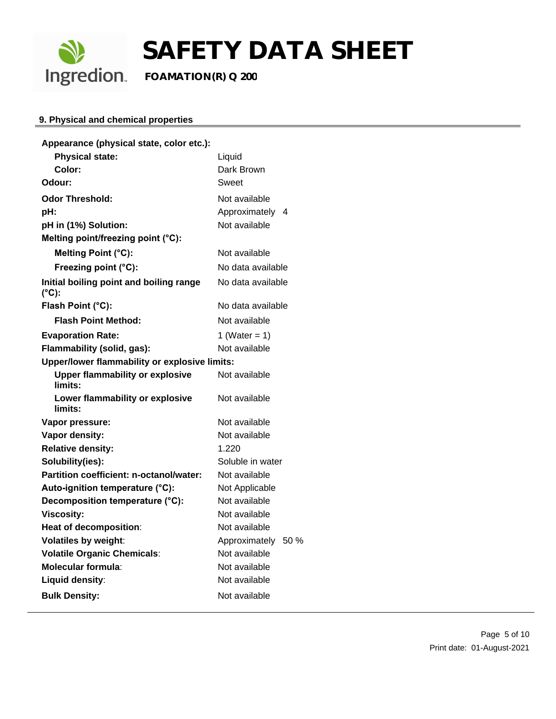

### **9. Physical and chemical properties**

| Appearance (physical state, color etc.):                   |                       |  |
|------------------------------------------------------------|-----------------------|--|
| <b>Physical state:</b>                                     | Liquid                |  |
| Color:                                                     | Dark Brown            |  |
| Odour:                                                     | Sweet                 |  |
| <b>Odor Threshold:</b>                                     | Not available         |  |
| pH:                                                        | Approximately<br>4    |  |
| pH in (1%) Solution:                                       | Not available         |  |
| Melting point/freezing point (°C):                         |                       |  |
| Melting Point (°C):                                        | Not available         |  |
| Freezing point (°C):                                       | No data available     |  |
| Initial boiling point and boiling range<br>$(^{\circ}C)$ : | No data available     |  |
| Flash Point (°C):                                          | No data available     |  |
| <b>Flash Point Method:</b>                                 | Not available         |  |
| <b>Evaporation Rate:</b>                                   | 1 (Water = $1$ )      |  |
| Flammability (solid, gas):<br>Not available                |                       |  |
| Upper/lower flammability or explosive limits:              |                       |  |
| <b>Upper flammability or explosive</b><br>limits:          | Not available         |  |
| Lower flammability or explosive<br>limits:                 | Not available         |  |
| Vapor pressure:                                            | Not available         |  |
| Vapor density:                                             | Not available         |  |
| <b>Relative density:</b>                                   | 1.220                 |  |
| Solubility(ies):                                           | Soluble in water      |  |
| Partition coefficient: n-octanol/water:                    | Not available         |  |
| Auto-ignition temperature (°C):                            | Not Applicable        |  |
| Decomposition temperature (°C):                            | Not available         |  |
| <b>Viscosity:</b>                                          | Not available         |  |
| Heat of decomposition:                                     | Not available         |  |
| <b>Volatiles by weight:</b>                                | 50 %<br>Approximately |  |
| <b>Volatile Organic Chemicals:</b>                         | Not available         |  |
| <b>Molecular formula:</b>                                  | Not available         |  |
| Liquid density:                                            | Not available         |  |
| <b>Bulk Density:</b>                                       | Not available         |  |
|                                                            |                       |  |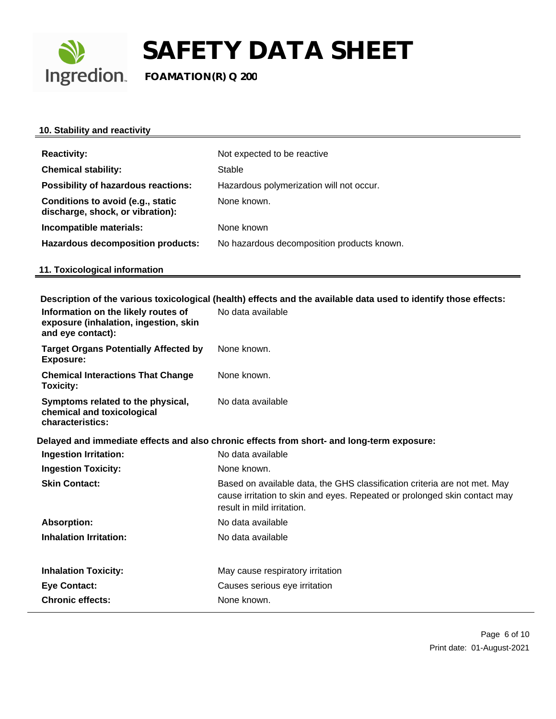

### **10. Stability and reactivity**

| <b>Reactivity:</b>                                                    | Not expected to be reactive                |
|-----------------------------------------------------------------------|--------------------------------------------|
| <b>Chemical stability:</b>                                            | Stable                                     |
| <b>Possibility of hazardous reactions:</b>                            | Hazardous polymerization will not occur.   |
| Conditions to avoid (e.g., static<br>discharge, shock, or vibration): | None known.                                |
| Incompatible materials:                                               | None known                                 |
| <b>Hazardous decomposition products:</b>                              | No hazardous decomposition products known. |

## **11. Toxicological information**

**Description of the various toxicological (health) effects and the available data used to identify those effects:**

| <b>Target Organs Potentially Affected by</b><br>None known.<br><b>Exposure:</b><br><b>Chemical Interactions That Change</b><br>None known.<br>Toxicity:<br>No data available<br>Symptoms related to the physical,<br>chemical and toxicological<br>characteristics:<br>Delayed and immediate effects and also chronic effects from short- and long-term exposure:<br><b>Ingestion Irritation:</b><br>No data available<br>None known.<br><b>Ingestion Toxicity:</b><br><b>Skin Contact:</b><br>Based on available data, the GHS classification criteria are not met. May<br>cause irritation to skin and eyes. Repeated or prolonged skin contact may<br>result in mild irritation.<br><b>Absorption:</b><br>No data available<br><b>Inhalation Irritation:</b><br>No data available<br><b>Inhalation Toxicity:</b><br>May cause respiratory irritation<br><b>Eye Contact:</b><br>Causes serious eye irritation<br><b>Chronic effects:</b><br>None known. | Information on the likely routes of<br>exposure (inhalation, ingestion, skin<br>and eye contact): | No data available |
|-----------------------------------------------------------------------------------------------------------------------------------------------------------------------------------------------------------------------------------------------------------------------------------------------------------------------------------------------------------------------------------------------------------------------------------------------------------------------------------------------------------------------------------------------------------------------------------------------------------------------------------------------------------------------------------------------------------------------------------------------------------------------------------------------------------------------------------------------------------------------------------------------------------------------------------------------------------|---------------------------------------------------------------------------------------------------|-------------------|
|                                                                                                                                                                                                                                                                                                                                                                                                                                                                                                                                                                                                                                                                                                                                                                                                                                                                                                                                                           |                                                                                                   |                   |
|                                                                                                                                                                                                                                                                                                                                                                                                                                                                                                                                                                                                                                                                                                                                                                                                                                                                                                                                                           |                                                                                                   |                   |
|                                                                                                                                                                                                                                                                                                                                                                                                                                                                                                                                                                                                                                                                                                                                                                                                                                                                                                                                                           |                                                                                                   |                   |
|                                                                                                                                                                                                                                                                                                                                                                                                                                                                                                                                                                                                                                                                                                                                                                                                                                                                                                                                                           |                                                                                                   |                   |
|                                                                                                                                                                                                                                                                                                                                                                                                                                                                                                                                                                                                                                                                                                                                                                                                                                                                                                                                                           |                                                                                                   |                   |
|                                                                                                                                                                                                                                                                                                                                                                                                                                                                                                                                                                                                                                                                                                                                                                                                                                                                                                                                                           |                                                                                                   |                   |
|                                                                                                                                                                                                                                                                                                                                                                                                                                                                                                                                                                                                                                                                                                                                                                                                                                                                                                                                                           |                                                                                                   |                   |
|                                                                                                                                                                                                                                                                                                                                                                                                                                                                                                                                                                                                                                                                                                                                                                                                                                                                                                                                                           |                                                                                                   |                   |
|                                                                                                                                                                                                                                                                                                                                                                                                                                                                                                                                                                                                                                                                                                                                                                                                                                                                                                                                                           |                                                                                                   |                   |
|                                                                                                                                                                                                                                                                                                                                                                                                                                                                                                                                                                                                                                                                                                                                                                                                                                                                                                                                                           |                                                                                                   |                   |
|                                                                                                                                                                                                                                                                                                                                                                                                                                                                                                                                                                                                                                                                                                                                                                                                                                                                                                                                                           |                                                                                                   |                   |
|                                                                                                                                                                                                                                                                                                                                                                                                                                                                                                                                                                                                                                                                                                                                                                                                                                                                                                                                                           |                                                                                                   |                   |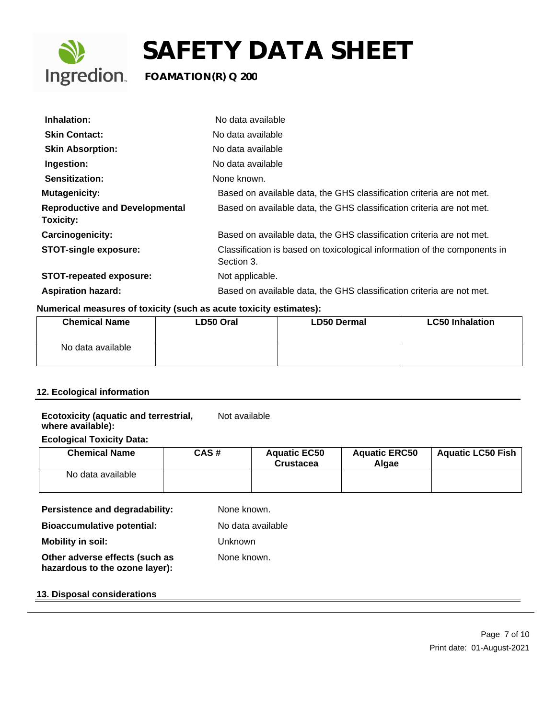

| Inhalation:                                               | No data available                                                                       |
|-----------------------------------------------------------|-----------------------------------------------------------------------------------------|
| <b>Skin Contact:</b>                                      | No data available                                                                       |
| <b>Skin Absorption:</b>                                   | No data available                                                                       |
| Ingestion:                                                | No data available                                                                       |
| <b>Sensitization:</b>                                     | None known.                                                                             |
| <b>Mutagenicity:</b>                                      | Based on available data, the GHS classification criteria are not met.                   |
| <b>Reproductive and Developmental</b><br><b>Toxicity:</b> | Based on available data, the GHS classification criteria are not met.                   |
| <b>Carcinogenicity:</b>                                   | Based on available data, the GHS classification criteria are not met.                   |
| <b>STOT-single exposure:</b>                              | Classification is based on toxicological information of the components in<br>Section 3. |
| <b>STOT-repeated exposure:</b>                            | Not applicable.                                                                         |
| <b>Aspiration hazard:</b>                                 | Based on available data, the GHS classification criteria are not met.                   |

### **Numerical measures of toxicity (such as acute toxicity estimates):**

| <b>Chemical Name</b> | LD50 Oral | <b>LD50 Dermal</b> | <b>LC50 Inhalation</b> |
|----------------------|-----------|--------------------|------------------------|
| No data available    |           |                    |                        |

### **12. Ecological information**

### **Ecotoxicity (aquatic and terrestrial, where available):** Not available

### **Ecological Toxicity Data:**

| <b>Chemical Name</b> | CAS# | <b>Aquatic EC50</b><br><b>Crustacea</b> | <b>Aquatic ERC50</b><br>Alaae | <b>Aquatic LC50 Fish</b> |
|----------------------|------|-----------------------------------------|-------------------------------|--------------------------|
| No data available    |      |                                         |                               |                          |

### **Persistence and degradability:** None known.

None known.

**Bioaccumulative potential:** No data available

**Mobility in soil:** Unknown

**Other adverse effects (such as hazardous to the ozone layer):**

### **13. Disposal considerations**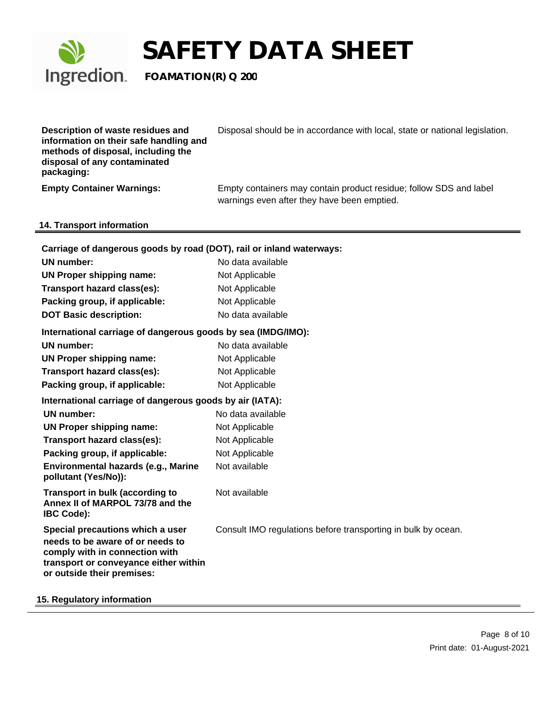

| Description of waste residues and<br>information on their safe handling and<br>methods of disposal, including the<br>disposal of any contaminated<br>packaging:               | Disposal should be in accordance with local, state or national legislation.                                       |
|-------------------------------------------------------------------------------------------------------------------------------------------------------------------------------|-------------------------------------------------------------------------------------------------------------------|
| <b>Empty Container Warnings:</b>                                                                                                                                              | Empty containers may contain product residue; follow SDS and label<br>warnings even after they have been emptied. |
| 14. Transport information                                                                                                                                                     |                                                                                                                   |
|                                                                                                                                                                               |                                                                                                                   |
| Carriage of dangerous goods by road (DOT), rail or inland waterways:                                                                                                          |                                                                                                                   |
| UN number:                                                                                                                                                                    | No data available                                                                                                 |
| <b>UN Proper shipping name:</b>                                                                                                                                               | Not Applicable                                                                                                    |
| Transport hazard class(es):                                                                                                                                                   | Not Applicable                                                                                                    |
| Packing group, if applicable:                                                                                                                                                 | Not Applicable                                                                                                    |
| <b>DOT Basic description:</b>                                                                                                                                                 | No data available                                                                                                 |
| International carriage of dangerous goods by sea (IMDG/IMO):                                                                                                                  |                                                                                                                   |
| <b>UN</b> number:                                                                                                                                                             | No data available                                                                                                 |
| <b>UN Proper shipping name:</b>                                                                                                                                               | Not Applicable                                                                                                    |
| Transport hazard class(es):                                                                                                                                                   | Not Applicable                                                                                                    |
| Packing group, if applicable:                                                                                                                                                 | Not Applicable                                                                                                    |
| International carriage of dangerous goods by air (IATA):                                                                                                                      |                                                                                                                   |
| <b>UN</b> number:                                                                                                                                                             | No data available                                                                                                 |
| <b>UN Proper shipping name:</b>                                                                                                                                               | Not Applicable                                                                                                    |
| Transport hazard class(es):                                                                                                                                                   | Not Applicable                                                                                                    |
| Packing group, if applicable:                                                                                                                                                 | Not Applicable                                                                                                    |
| Environmental hazards (e.g., Marine<br>pollutant (Yes/No)):                                                                                                                   | Not available                                                                                                     |
| <b>Transport in bulk (according to</b><br>Annex II of MARPOL 73/78 and the<br><b>IBC Code):</b>                                                                               | Not available                                                                                                     |
| Special precautions which a user<br>needs to be aware of or needs to<br>comply with in connection with<br>transport or conveyance either within<br>or outside their premises: | Consult IMO regulations before transporting in bulk by ocean.                                                     |

### **15. Regulatory information**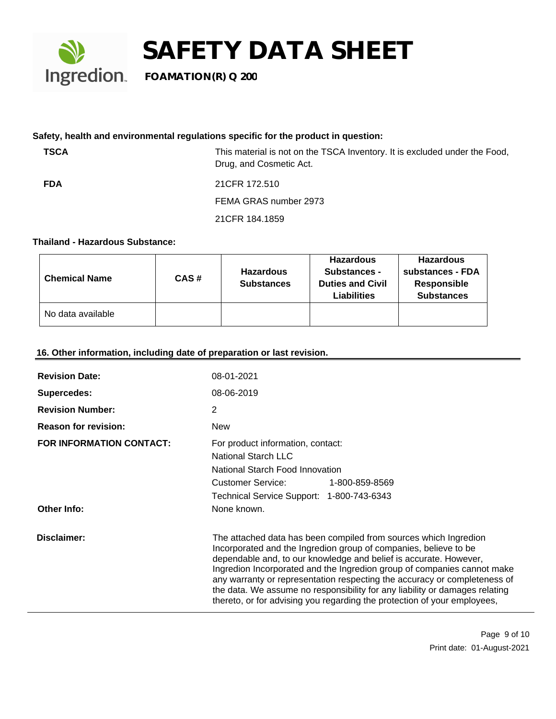

### **Safety, health and environmental regulations specific for the product in question:**

| <b>TSCA</b> | This material is not on the TSCA Inventory. It is excluded under the Food,<br>Drug, and Cosmetic Act. |
|-------------|-------------------------------------------------------------------------------------------------------|
| <b>FDA</b>  | 21 CFR 172.510                                                                                        |
|             | FEMA GRAS number 2973                                                                                 |
|             | 21 CFR 184.1859                                                                                       |
|             |                                                                                                       |

### **Thailand - Hazardous Substance:**

| <b>Chemical Name</b> | CAS# | <b>Hazardous</b><br><b>Substances</b> | <b>Hazardous</b><br>Substances -<br><b>Duties and Civil</b><br><b>Liabilities</b> | <b>Hazardous</b><br>substances - FDA<br>Responsible<br><b>Substances</b> |
|----------------------|------|---------------------------------------|-----------------------------------------------------------------------------------|--------------------------------------------------------------------------|
| No data available    |      |                                       |                                                                                   |                                                                          |

### **16. Other information, including date of preparation or last revision.**

| <b>Revision Date:</b>           | 08-01-2021                                                                                                                                                                                                                                                                                                                                                                                                                                                                                                                   |  |
|---------------------------------|------------------------------------------------------------------------------------------------------------------------------------------------------------------------------------------------------------------------------------------------------------------------------------------------------------------------------------------------------------------------------------------------------------------------------------------------------------------------------------------------------------------------------|--|
| Supercedes:                     | 08-06-2019                                                                                                                                                                                                                                                                                                                                                                                                                                                                                                                   |  |
| <b>Revision Number:</b>         | 2                                                                                                                                                                                                                                                                                                                                                                                                                                                                                                                            |  |
| <b>Reason for revision:</b>     | <b>New</b>                                                                                                                                                                                                                                                                                                                                                                                                                                                                                                                   |  |
| <b>FOR INFORMATION CONTACT:</b> | For product information, contact:<br><b>National Starch LLC</b><br>National Starch Food Innovation<br>Customer Service:<br>1-800-859-8569<br>Technical Service Support: 1-800-743-6343                                                                                                                                                                                                                                                                                                                                       |  |
| <b>Other Info:</b>              | None known.                                                                                                                                                                                                                                                                                                                                                                                                                                                                                                                  |  |
| Disclaimer:                     | The attached data has been compiled from sources which Ingredion<br>Incorporated and the Ingredion group of companies, believe to be<br>dependable and, to our knowledge and belief is accurate. However,<br>Ingredion Incorporated and the Ingredion group of companies cannot make<br>any warranty or representation respecting the accuracy or completeness of<br>the data. We assume no responsibility for any liability or damages relating<br>thereto, or for advising you regarding the protection of your employees, |  |